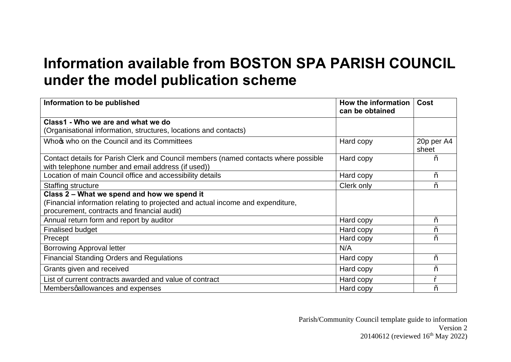## **Information available from BOSTON SPA PARISH COUNCIL under the model publication scheme**

| Information to be published                                                         | How the information<br>can be obtained | Cost                |
|-------------------------------------------------------------------------------------|----------------------------------------|---------------------|
| Class1 - Who we are and what we do                                                  |                                        |                     |
| (Organisational information, structures, locations and contacts)                    |                                        |                     |
| Whoc who on the Council and its Committees                                          | Hard copy                              | 20p per A4<br>sheet |
| Contact details for Parish Clerk and Council members (named contacts where possible | Hard copy                              | $\%$                |
| with telephone number and email address (if used))                                  |                                        |                     |
| Location of main Council office and accessibility details                           | Hard copy                              | $\%$                |
| Staffing structure                                                                  | Clerk only                             | $\%$ o              |
| Class 2 – What we spend and how we spend it                                         |                                        |                     |
| (Financial information relating to projected and actual income and expenditure,     |                                        |                     |
| procurement, contracts and financial audit)                                         |                                        |                     |
| Annual return form and report by auditor                                            | Hard copy                              | $\%$                |
| <b>Finalised budget</b>                                                             | Hard copy                              | $\%$                |
| Precept                                                                             | Hard copy                              | $\%$                |
| <b>Borrowing Approval letter</b>                                                    | N/A                                    |                     |
| <b>Financial Standing Orders and Regulations</b>                                    | Hard copy                              | $\%$                |
| Grants given and received                                                           | Hard copy                              | $\%$                |
| List of current contracts awarded and value of contract                             | Hard copy                              | 9                   |
| Membersgallowances and expenses                                                     | Hard copy                              | $\%$                |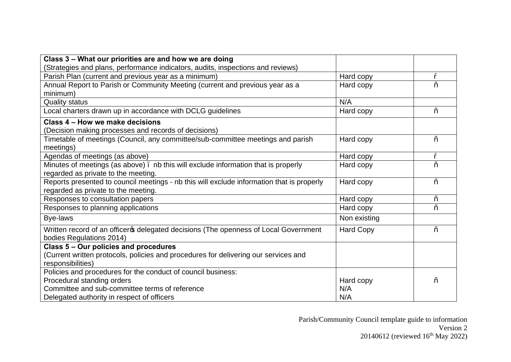| Class 3 - What our priorities are and how we are doing                                    |                  |        |
|-------------------------------------------------------------------------------------------|------------------|--------|
| (Strategies and plans, performance indicators, audits, inspections and reviews)           |                  |        |
| Parish Plan (current and previous year as a minimum)                                      | Hard copy        | 9      |
| Annual Report to Parish or Community Meeting (current and previous year as a              | Hard copy        | $\%$   |
| minimum)                                                                                  |                  |        |
| <b>Quality status</b>                                                                     | N/A              |        |
| Local charters drawn up in accordance with DCLG guidelines                                | Hard copy        | $\%$ o |
| Class 4 - How we make decisions                                                           |                  |        |
| (Decision making processes and records of decisions)                                      |                  |        |
| Timetable of meetings (Council, any committee/sub-committee meetings and parish           | Hard copy        | $\%$   |
| meetings)                                                                                 |                  |        |
| Agendas of meetings (as above)                                                            | Hard copy        | 9      |
| Minutes of meetings (as above). nb this will exclude information that is properly         | Hard copy        | %      |
| regarded as private to the meeting.                                                       |                  |        |
| Reports presented to council meetings - nb this will exclude information that is properly | Hard copy        | %      |
| regarded as private to the meeting.                                                       |                  |        |
| Responses to consultation papers                                                          | Hard copy        | $\%$   |
| Responses to planning applications                                                        | Hard copy        | $\%$   |
| Bye-laws                                                                                  | Non existing     |        |
| Written record of an officeros delegated decisions (The openness of Local Government      | <b>Hard Copy</b> | $\%$ o |
| bodies Regulations 2014)                                                                  |                  |        |
| Class 5 - Our policies and procedures                                                     |                  |        |
| (Current written protocols, policies and procedures for delivering our services and       |                  |        |
| responsibilities)                                                                         |                  |        |
| Policies and procedures for the conduct of council business:                              |                  |        |
| Procedural standing orders                                                                | Hard copy        | $\%$   |
| Committee and sub-committee terms of reference                                            | N/A              |        |
| Delegated authority in respect of officers                                                | N/A              |        |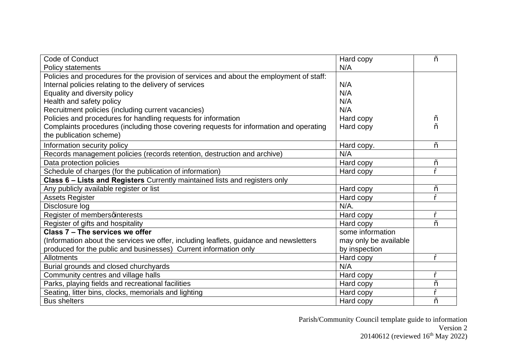| <b>Code of Conduct</b>                                                                   | Hard copy             | $\%$ |
|------------------------------------------------------------------------------------------|-----------------------|------|
| <b>Policy statements</b>                                                                 | N/A                   |      |
| Policies and procedures for the provision of services and about the employment of staff: |                       |      |
| Internal policies relating to the delivery of services                                   | N/A                   |      |
| Equality and diversity policy                                                            | N/A                   |      |
| Health and safety policy                                                                 | N/A                   |      |
| Recruitment policies (including current vacancies)                                       | N/A                   |      |
| Policies and procedures for handling requests for information                            | Hard copy             | $\%$ |
| Complaints procedures (including those covering requests for information and operating   | Hard copy             | $\%$ |
| the publication scheme)                                                                  |                       |      |
| Information security policy                                                              | Hard copy.            | $\%$ |
| Records management policies (records retention, destruction and archive)                 | N/A                   |      |
| Data protection policies                                                                 | Hard copy             | $\%$ |
| Schedule of charges (for the publication of information)                                 | Hard copy             | 0,   |
| Class 6 - Lists and Registers Currently maintained lists and registers only              |                       |      |
| Any publicly available register or list                                                  | Hard copy             | $\%$ |
| <b>Assets Register</b>                                                                   | Hard copy             | %    |
| Disclosure log                                                                           | $N/A$ .               |      |
| Register of membersqinterests                                                            | Hard copy             | %    |
| Register of gifts and hospitality                                                        | Hard copy             | $\%$ |
| Class 7 - The services we offer                                                          | some information      |      |
| (Information about the services we offer, including leaflets, guidance and newsletters   | may only be available |      |
| produced for the public and businesses) Current information only                         | by inspection         |      |
| Allotments                                                                               | Hard copy             | 9    |
| Burial grounds and closed churchyards                                                    | N/A                   |      |
| Community centres and village halls                                                      | Hard copy             | 9    |
| Parks, playing fields and recreational facilities<br>Hard copy                           |                       | $\%$ |
| Seating, litter bins, clocks, memorials and lighting<br>Hard copy                        |                       | %    |
| <b>Bus shelters</b>                                                                      | Hard copy             | $\%$ |